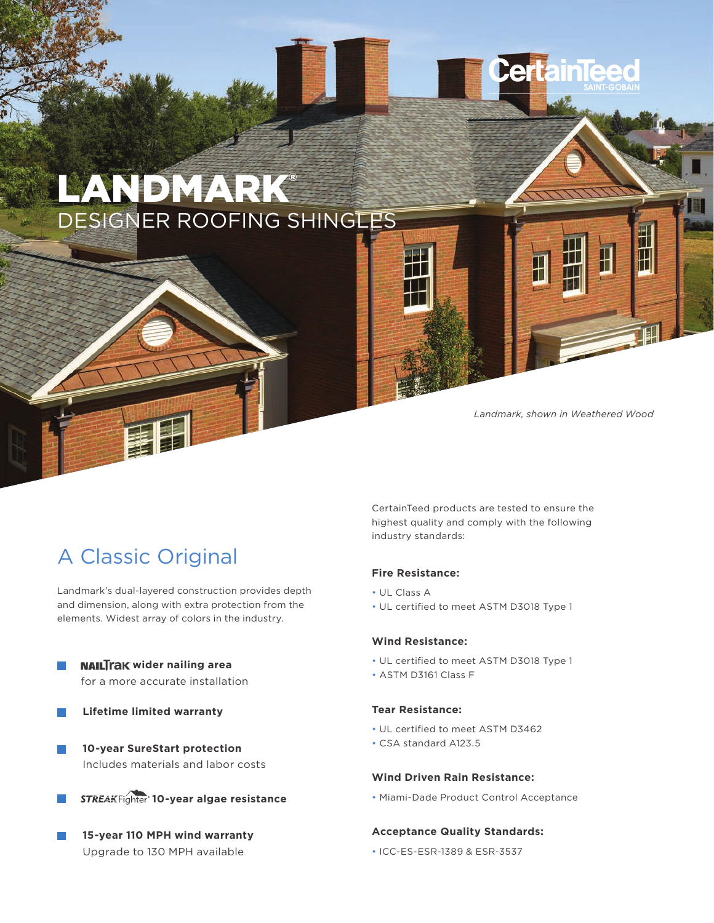

*Landmark, shown in Weathered Wood*

П

## A Classic Original

Landmark's dual-layered construction provides depth and dimension, along with extra protection from the elements. Widest array of colors in the industry.

- **NAILTrak wider nailing area** for a more accurate installation
- **Lifetime limited warranty**  $\sim$
- **10-year SureStart protection**  $\sim$ Includes materials and labor costs



**15-year 110 MPH wind warranty**  Upgrade to 130 MPH available

CertainTeed products are tested to ensure the highest quality and comply with the following industry standards:

#### **Fire Resistance:**

- UL Class A
- UL certified to meet ASTM D3018 Type 1

### **Wind Resistance:**

- UL certified to meet ASTM D3018 Type 1
- ASTM D3161 Class F

#### **Tear Resistance:**

- UL certified to meet ASTM D3462
- CSA standard A123.5

#### **Wind Driven Rain Resistance:**

• Miami-Dade Product Control Acceptance

#### **Acceptance Quality Standards:**

• ICC-ES-ESR-1389 & ESR-3537